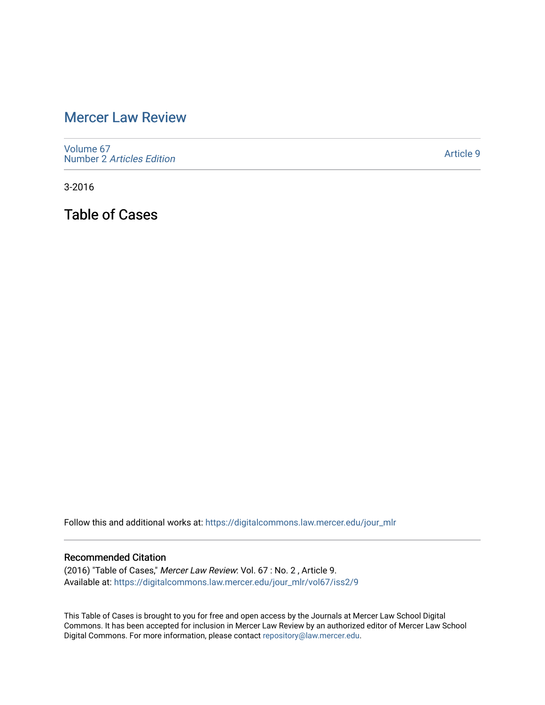# [Mercer Law Review](https://digitalcommons.law.mercer.edu/jour_mlr)

[Volume 67](https://digitalcommons.law.mercer.edu/jour_mlr/vol67) Number 2 [Articles Edition](https://digitalcommons.law.mercer.edu/jour_mlr/vol67/iss2) 

[Article 9](https://digitalcommons.law.mercer.edu/jour_mlr/vol67/iss2/9) 

3-2016

Table of Cases

Follow this and additional works at: [https://digitalcommons.law.mercer.edu/jour\\_mlr](https://digitalcommons.law.mercer.edu/jour_mlr?utm_source=digitalcommons.law.mercer.edu%2Fjour_mlr%2Fvol67%2Fiss2%2F9&utm_medium=PDF&utm_campaign=PDFCoverPages)

## Recommended Citation

(2016) "Table of Cases," Mercer Law Review: Vol. 67 : No. 2 , Article 9. Available at: [https://digitalcommons.law.mercer.edu/jour\\_mlr/vol67/iss2/9](https://digitalcommons.law.mercer.edu/jour_mlr/vol67/iss2/9?utm_source=digitalcommons.law.mercer.edu%2Fjour_mlr%2Fvol67%2Fiss2%2F9&utm_medium=PDF&utm_campaign=PDFCoverPages)

This Table of Cases is brought to you for free and open access by the Journals at Mercer Law School Digital Commons. It has been accepted for inclusion in Mercer Law Review by an authorized editor of Mercer Law School Digital Commons. For more information, please contact [repository@law.mercer.edu](mailto:repository@law.mercer.edu).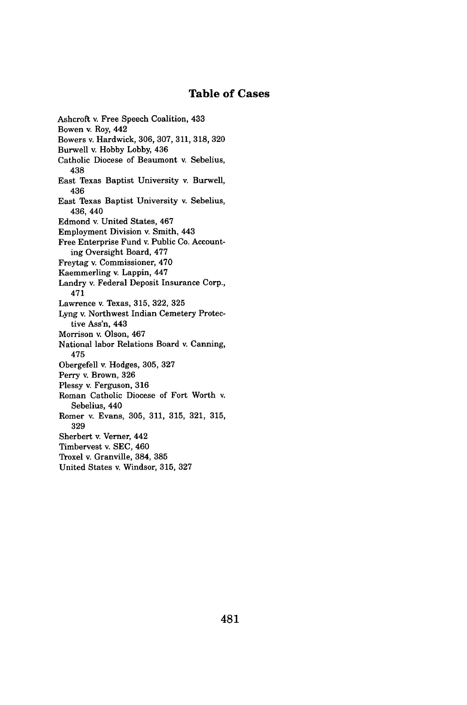### **Table of Cases**

Bowen v. Roy, 442 Bowers v. Hardwick, **306, 307, 311, 318, 320** Burwell v. Hobby Lobby, 436 Catholic Diocese of Beaumont v. Sebelius, 438 East Texas Baptist University v. Burwell, 436 East Texas Baptist University v. Sebelius, 436, 440 Edmond v. United States, 467 Employment Division v. Smith, 443 Free Enterprise Fund v. Public Co. Accounting Oversight Board, **477** Freytag v. Commissioner, 470 Kaemmerling v. Lappin, 447 Landry v. Federal Deposit Insurance Corp., 471 Lawrence v. Texas, **315, 322, 325** Lyng v. Northwest Indian Cemetery Protective Ass'n, 443 Morrison v. Olson, 467 National labor Relations Board v. Canning, 475 Obergefell v. Hodges, **305, 327** Perry v. Brown, **326** Plessy v. Ferguson, **316** Roman Catholic Diocese of Fort Worth v. Sebelius, 440 Romer v. Evans, **305, 311, 315, 321, 315, 329** Sherbert v. Verner, 442 Timbervest v. **SEC,** 460 Troxel v. Granville, 384, **385** United States v. Windsor, **315, 327**

Ashcroft v. Free Speech Coalition, 433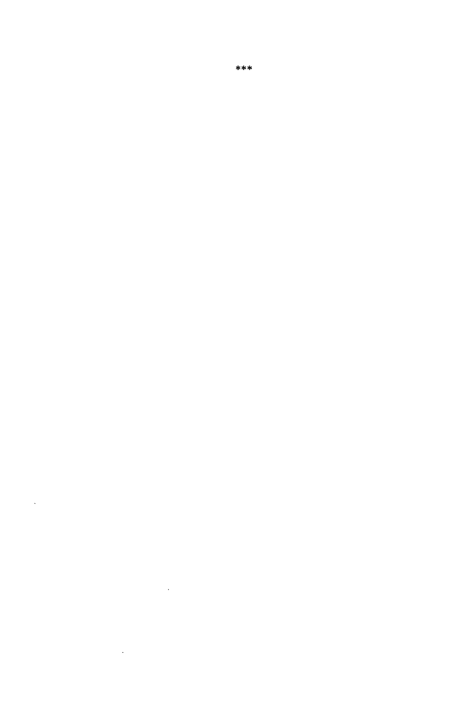$***$  $\mathcal{A}^{\text{max}}_{\text{max}}$  $\label{eq:2.1} \frac{1}{\sqrt{2}}\int_{\mathbb{R}^3}\frac{1}{\sqrt{2}}\left(\frac{1}{\sqrt{2}}\right)^2\frac{1}{\sqrt{2}}\left(\frac{1}{\sqrt{2}}\right)^2\frac{1}{\sqrt{2}}\left(\frac{1}{\sqrt{2}}\right)^2\frac{1}{\sqrt{2}}\left(\frac{1}{\sqrt{2}}\right)^2.$  $\mathcal{L}^{\mathcal{L}}(\mathcal{L}^{\mathcal{L}})$  . The set of  $\mathcal{L}^{\mathcal{L}}(\mathcal{L}^{\mathcal{L}})$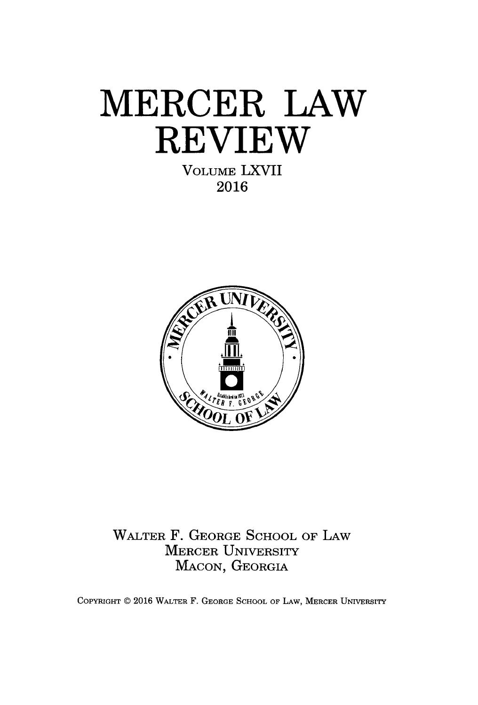

**VOLUME LXVII 2016**



WALTER F. **GEORGE SCHOOL** OF LAW MERCER UNIVERSITY **MACON, GEORGIA**

COPYRIHr @ **2016** WALTER F. **GEORGE SCHOOL** OF LAW, MERCER **UNIVERSITY**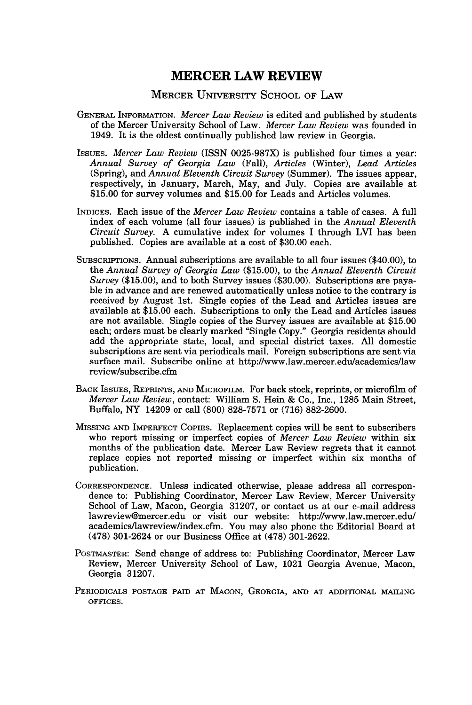## **MERCER LAW REVIEW**

#### **MERCER UNIVERSITY SCHOOL OF LAW**

- **GENERAL INFORMATION.** *Mercer Law Review* is edited and published **by** students of the Mercer University School of Law. *Mercer Law Review* was founded in 1949. It is the oldest continually published law review in Georgia.
- *IssuEs. Mercer Law Review (ISSN* **0025-987X)** is published four times a year: *Annual Survey of Georgia Law (Fall), Articles* (Winter), *Lead Articles* (Spring), and *Annual Eleventh Circuit Survey* (Summer). The issues appear, respectively, in January, March, May, and July. Copies are available at **\$15.00** for survey volumes and **\$15.00** for Leads and Articles volumes.
- **INDICEs.** Each issue of the *Mercer Law Review* contains a table of cases. **A** full index of each volume (all four issues) is published in the *Annual Eleventh Circuit Survey.* **A** cumulative index for volumes I through LVI has been published. Copies are available at a cost of **\$30.00** each.
- SUBSCRIPIONs. Annual subscriptions are available to all four issues (\$40.00), to the *Annual Survey of Georgia Law* **(\$15.00),** to the *Annual Eleventh Circuit Survey* **(\$15.00),** and to both Survey issues **(\$30.00).** Subscriptions are payable in advance and are renewed automatically unless notice to the contrary is received **by** August 1st. Single copies of the Lead and Articles issues are available at **\$15.00** each. Subscriptions to only the Lead and Articles issues are not available. Single copies of the Survey issues are available at **\$15.00** each; orders must be clearly marked "Single Copy." Georgia residents should add the appropriate state, local, and special district taxes. **All** domestic subscriptions are sent via periodicals mail. Foreign subscriptions are sent via surface mail. Subscribe online at http://www.law.mercer.edulacademics/law review/subscribe.cfm
- **BACK** IssuEs, **REPRINTS, AND MICROFILM.** For back stock, reprints, or microfilm of *Mercer Law Review,* contact: William **S.** Hein **&** Co., Inc., **1285** Main Street, Buffalo, NY 14209 or call **(800) 828-7571** or **(716) 882-2600.**
- **MISSING AND IMPERFECT** COPIES. Replacement copies will be sent to subscribers who report missing or imperfect copies of *Mercer Law Review* within six months of the publication date. Mercer Law Review regrets that it cannot replace copies not reported missing or imperfect within six months of publication.
- **CORRESPONDENCE.** Unless indicated otherwise, please address all correspondence to: Publishing Coordinator, Mercer Law Review, Mercer University School of Law, Macon, Georgia **31207,** or contact us at our e-mail address lawreview@mercer.edu or visit our website: http://www.law.mercer.edu/ academics/lawreview/index.cfm. You may also phone the Editorial Board at **(478)** 301-2624 or our Business Office at **(478) 301-2622.**
- **POSTMASTER:** Send change of address to: Publishing Coordinator, Mercer Law Review, Mercer University School of Law, 1021 Georgia Avenue, Macon, Georgia **31207.**
- **PERIODICALS POSTAGE PAID AT MACON, GEORGIA, AND AT ADDITIONAL MAILING OFFICES.**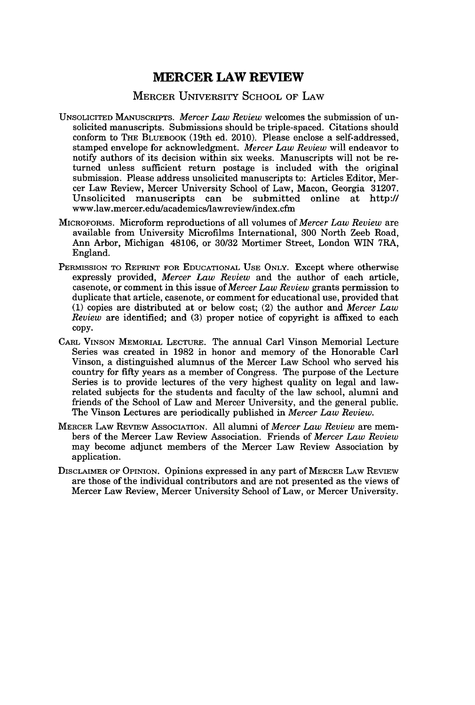# **MERCER LAW REVIEW**

### MERCER UNIVERSITY **SCHOOL** OF LAW

- **UNsoLICrrED** MANUSCRIPTS. *Mercer Law Review* welcomes the submission of unsolicited manuscripts. Submissions should be triple-spaced. Citations should conform to **THE BLUEBOOK** (19th ed. 2010). Please enclose a self-addressed, stamped envelope for acknowledgment. *Mercer Law Review* will endeavor to notify authors of its decision within six weeks. Manuscripts will not be returned unless sufficient return postage is included with the original submission. Please address unsolicited manuscripts to: Articles Editor, Mercer Law Review, Mercer University School of Law, Macon, Georgia **31207.** Unsolicited manuscripts can be submitted online at http:// www.law.mercer.edulacademics/lawreview/index.cfm
- **MICROFORMS.** Microform reproductions of all volumes of *Mercer Law Review* are available from University Microfilms International, **300** North Zeeb Road, Ann Arbor, Michigan 48106, or **30/32** Mortimer Street, London WIN 7RA, England.
- **PERMISSION TO REPRINT FOR EDUCATIONAL USE ONLY.** Except where otherwise expressly provided, *Mercer Law Review* and the author of each article, casenote, or comment in this issue of *Mercer Law Review* grants permission to duplicate that article, casenote, or comment for educational use, provided that **(1)** copies are distributed at or below cost; (2) the author and *Mercer Law Review* are identified; and **(3)** proper notice of copyright is affixed to each **copy.**
- **CARL VINsoN MEMORIAL** LECTURE. The annual Carl Vinson Memorial Lecture Series was created **in 1982** in honor and memory of the Honorable Carl Vinson, a distinguished alumnus of the Mercer Law School who served his country for **fifty** years as a member of Congress. The purpose of the Lecture Series is to provide lectures of the very highest quality on legal and lawrelated subjects for the students and faculty of the law school, alumni and friends of the School of Law and Mercer University, and the general public. The Vinson Lectures are periodically published in *Mercer Law Review.*
- **MERCER LAw** REVIEw **ASSOCIATION. All** alumni of *Mercer Law Review* are members of the Mercer Law Review Association. Friends of *Mercer Law Review* may become adjunct members of the Mercer Law Review Association **by** application.
- **DISCLAIMER OF OPINION.** Opinions expressed in any part **of MERCER LAw** REVIEw are those of the individual contributors and are not presented as the views of Mercer Law Review, Mercer University School of Law, or Mercer University.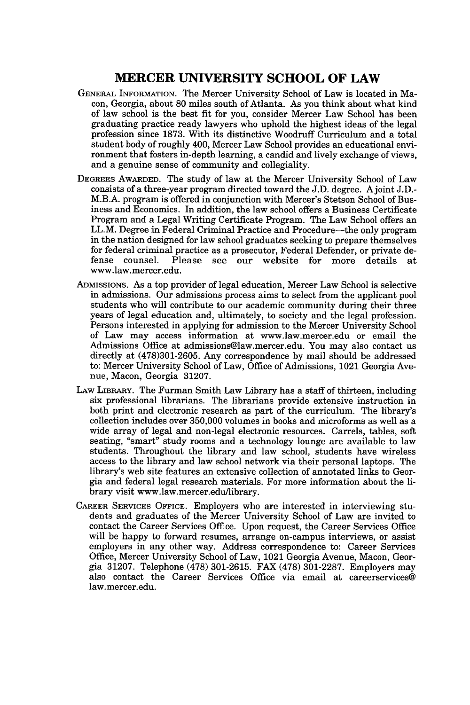# **MERCER UNIVERSITY SCHOOL OF LAW**

- **GENERAL INFORMATION.** The Mercer University School of Law is located in Macon, Georgia, about **80** miles south of Atlanta. As you think about what kind of law school is the best fit for you, consider Mercer Law School has been graduating practice ready lawyers who uphold the highest ideas of the legal profession since **1873.** With its distinctive Woodruff Curriculum and a total student body of roughly 400, Mercer Law School provides an educational environment that fosters in-depth learning, a candid and lively exchange of views, and a genuine sense of community and collegiality.
- **DEGREES AWARDED.** The study of law at the Mercer University School of Law consists of a three-year program directed toward the **J.D.** degree. Ajoint **J.D.-** M.B.A. program is offered in conjunction with Mercer's Stetson School of Business and Economics. In addition, the law school offers a Business Certificate Program and a Legal Writing Certificate Program. The Law School offers an LL.M. Degree in Federal Criminal Practice and Procedure—the only program in the nation designed for law school graduates seeking to prepare themselves for federal criminal practice as a prosecutor, Federal Defender, or private de-Please see our website for more details at www.law.mercer.edu.
- **ADMISSIONs.** As a top provider of legal education, Mercer Law School is selective in admissions. Our admissions process aims to select from the applicant pool students who will contribute to our academic community during their three years of legal education and, ultimately, to society and the legal profession. Persons interested in applying for admission to the Mercer University School of Law may access information at www.law.mercer.edu or email the Admissions Office at admissions@law.mercer.edu. You may also contact us directly at **(478)301-2605.** Any correspondence **by** mail should be addressed to: Mercer University School of Law, Office of Admissions, 1021 Georgia Avenue, Macon, Georgia **31207.**
- LAw **LIBRARY.** The Furman Smith Law Library has a staff of thirteen, including six professional librarians. The librarians provide extensive instruction in both print and electronic research as part of the curriculum. The library's collection includes over **350,000** volumes in books and microforms as well as a wide array of legal and non-legal electronic resources. Carrels, tables, soft seating, "smart" study rooms and a technology lounge are available to law students. Throughout the library and law school, students have wireless access to the library and law school network via their personal laptops. The library's web site features an extensive collection of annotated links to Georgia and federal legal research materials. For more information about the library visit www.law.mercer.edullibrary.
- **CAREER SERVICES OFFICE.** Employers who are interested in interviewing students and graduates of the Mercer University School of Law are invited to contact the Career Services Office. Upon request, the Career Services Office will be happy to forward resumes, arrange on-campus interviews, or assist employers in any other way. Address correspondence to: Career Services Office, Mercer University School of Law, 1021 Georgia Avenue, Macon, Georgia **31207.** Telephone **(478) 301-2615.** FAX **(478) 301-2287.** Employers may also contact the Career Services Office via email at careerservices@ law.mercer.edu.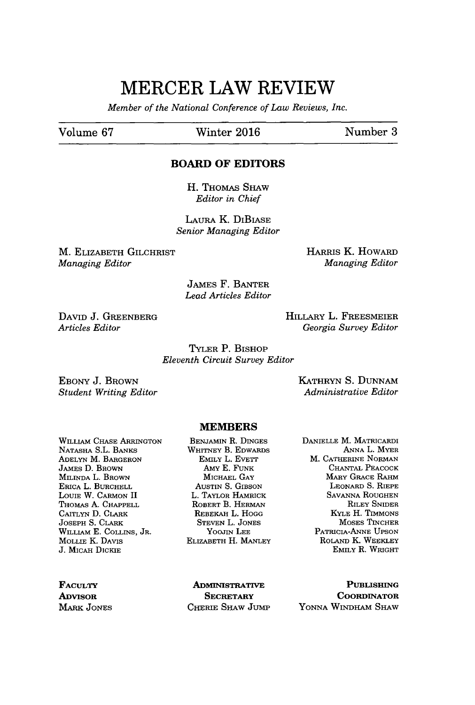# **MERCER LAW REVIEW**

*Member of the National Conference of Law Reviews, Inc.*

Volume **67** Winter **2016** Number **3**

#### **BOARD OF EDITORS**

H. THoMAs SHAW *Editor in Chief*

**LAURA** K. DIBIASE *Senior Managing Editor*

M. ELIZABETH GILCHRIST *Managing Editor*

HARRIS K. HOWARD *Managing Editor*

JAMES F. BANTER *Lead Articles Editor*

DAVID **J. GREENBERG** *Articles Editor*

HILLARY **L.** FREESMEIER *Georgia Survey Editor*

TYLER P. BISHOP *Eleventh Circuit Survey Editor*

EBONY **J.** BROWN *Student Writing Editor* KATHRYN *S.* DuNNAM *Administrative Editor*

#### **MEMBERS**

WILLIAM CHASE ARRINGTON NATASHA **S.L.** BANKS **ADELYN** M. BARGERON JAMES **D.** BROWN MiLINDA L. BROWN ERICA L. BURCHELL LOUIE W. CARMON II THOMAS **A.** CHAPPELL CAITLYN **D.** CLARK **JOSEPH S.** CLARK WILLIAM **E.** CoLINs, JR. MOLLIE K. DAVIS **J.** MICAH DICKIE

**BENJAMIN** R. DINGES WHITNEY B. EDWARDS EMILY L. EvEr *Amy* **E.** FuNK MICHAEL **GAY** AuSTIN **S.** GIBSON L. TAYLOR HAMRICK ROBERT B. HERMAN REBEKAH L. HOGG **STEVEN** L. JONES YOOJIN LEE ELIZABETH H. **MANLEY** DANIELLE M. MATRICARDI **ANNA** L. MYER M. CATHERINE NORMAN **CHANTAL PEACOCK** MARY GRACE RAHM LEONARD **S.** RIEPE **SAVANNA ROUGHEN** RILEY SNIDER KYLE H. TIMMONS MOSES TINCHER PATRICIA-ANNE **UPSON** ROLAND K. WEEKLEY EMILY R. WRIGHT

**FACULTY ADVISOR** MARK **JONES**

**ADMINISTRATIVE SECRETARY CKEIHE** SHAw **JUMP**

**PUBLISHING COORDINATOR YONNA** WINDHAM SHAW